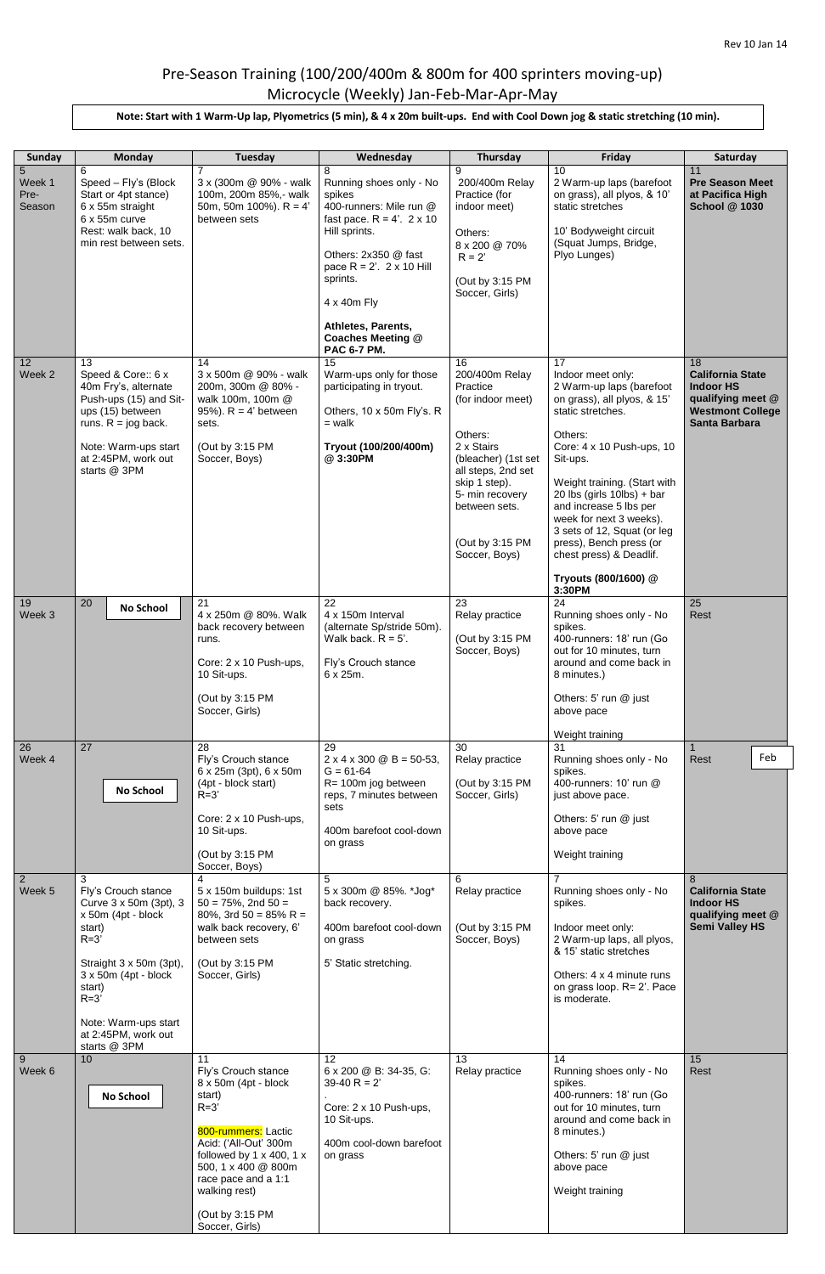## Pre-Season Training (100/200/400m & 800m for 400 sprinters moving-up) Microcycle (Weekly) Jan-Feb-Mar-Apr-May

| Sunday                        | <b>Monday</b>                                                                                                                                                                                                        | Tuesday                                                                                                                                                                                                                                                              | Wednesday                                                                                                                                                                                                                                                                           | <b>Thursday</b>                                                                                                                                                                                                      | Friday                                                                                                                                                                                                                                                                                                                                                                                                   | Saturday                                                                                                                  |
|-------------------------------|----------------------------------------------------------------------------------------------------------------------------------------------------------------------------------------------------------------------|----------------------------------------------------------------------------------------------------------------------------------------------------------------------------------------------------------------------------------------------------------------------|-------------------------------------------------------------------------------------------------------------------------------------------------------------------------------------------------------------------------------------------------------------------------------------|----------------------------------------------------------------------------------------------------------------------------------------------------------------------------------------------------------------------|----------------------------------------------------------------------------------------------------------------------------------------------------------------------------------------------------------------------------------------------------------------------------------------------------------------------------------------------------------------------------------------------------------|---------------------------------------------------------------------------------------------------------------------------|
| 5<br>Week 1<br>Pre-<br>Season | 6<br>Speed - Fly's (Block<br>Start or 4pt stance)<br>6 x 55m straight<br>6 x 55m curve<br>Rest: walk back, 10<br>min rest between sets.                                                                              | 7<br>3 x (300m @ 90% - walk<br>100m, 200m 85%,- walk<br>50m, 50m 100%). $R = 4'$<br>between sets                                                                                                                                                                     | 8<br>Running shoes only - No<br>spikes<br>400-runners: Mile run @<br>fast pace. $R = 4'$ . $2 \times 10$<br>Hill sprints.<br>Others: 2x350 @ fast<br>pace $R = 2'$ . 2 x 10 Hill<br>sprints.<br>4 x 40m Fly<br>Athletes, Parents,<br><b>Coaches Meeting @</b><br><b>PAC 6-7 PM.</b> | 9<br>200/400m Relay<br>Practice (for<br>indoor meet)<br>Others:<br>8 x 200 @ 70%<br>$R = 2'$<br>(Out by 3:15 PM<br>Soccer, Girls)                                                                                    | 10<br>2 Warm-up laps (barefoot<br>on grass), all plyos, & 10'<br>static stretches<br>10' Bodyweight circuit<br>(Squat Jumps, Bridge,<br>Plyo Lunges)                                                                                                                                                                                                                                                     | 11<br><b>Pre Season Meet</b><br>at Pacifica High<br><b>School @ 1030</b>                                                  |
| 12<br>Week 2                  | 13<br>Speed & Core:: 6 x<br>40m Fry's, alternate<br>Push-ups (15) and Sit-<br>ups (15) between<br>runs. $R = j$ og back.<br>Note: Warm-ups start<br>at 2:45PM, work out<br>starts @ 3PM                              | 14<br>3 x 500m @ 90% - walk<br>200m, 300m @ 80% -<br>walk 100m, 100m @<br>95%). $R = 4'$ between<br>sets.<br>(Out by 3:15 PM<br>Soccer, Boys)                                                                                                                        | 15<br>Warm-ups only for those<br>participating in tryout.<br>Others, 10 x 50m Fly's. R<br>$=$ walk<br>Tryout (100/200/400m)<br>@ 3:30PM                                                                                                                                             | 16<br>200/400m Relay<br>Practice<br>(for indoor meet)<br>Others:<br>2 x Stairs<br>(bleacher) (1st set<br>all steps, 2nd set<br>skip 1 step).<br>5- min recovery<br>between sets.<br>(Out by 3:15 PM<br>Soccer, Boys) | 17<br>Indoor meet only:<br>2 Warm-up laps (barefoot<br>on grass), all plyos, & 15'<br>static stretches.<br>Others:<br>Core: 4 x 10 Push-ups, 10<br>Sit-ups.<br>Weight training. (Start with<br>20 lbs (girls $10$ lbs) + bar<br>and increase 5 lbs per<br>week for next 3 weeks).<br>3 sets of 12, Squat (or leg<br>press), Bench press (or<br>chest press) & Deadlif.<br>Tryouts (800/1600) @<br>3:30PM | 18<br><b>California State</b><br><b>Indoor HS</b><br>qualifying meet @<br><b>Westmont College</b><br><b>Santa Barbara</b> |
| 19<br>Week 3                  | 20<br>No School                                                                                                                                                                                                      | 21<br>4 x 250m @ 80%. Walk<br>back recovery between<br>runs.<br>Core: 2 x 10 Push-ups,<br>10 Sit-ups.<br>(Out by 3:15 PM<br>Soccer, Girls)                                                                                                                           | 22<br>4 x 150m Interval<br>(alternate Sp/stride 50m).<br>Walk back. $R = 5'$ .<br>Fly's Crouch stance<br>$6 \times 25m$ .                                                                                                                                                           | 23<br>Relay practice<br>(Out by 3:15 PM<br>Soccer, Boys)                                                                                                                                                             | 24<br>Running shoes only - No<br>spikes.<br>400-runners: 18' run (Go<br>out for 10 minutes, turn<br>around and come back in<br>8 minutes.)<br>Others: 5' run @ just<br>above pace<br>Weight training                                                                                                                                                                                                     | 25<br>Rest                                                                                                                |
| 26                            | 27                                                                                                                                                                                                                   | 28                                                                                                                                                                                                                                                                   | 29                                                                                                                                                                                                                                                                                  | 30                                                                                                                                                                                                                   | 31                                                                                                                                                                                                                                                                                                                                                                                                       |                                                                                                                           |
| Week 4                        | <b>No School</b>                                                                                                                                                                                                     | Fly's Crouch stance<br>6 x 25m (3pt), 6 x 50m<br>(4pt - block start)<br>$R=3'$<br>Core: 2 x 10 Push-ups,<br>10 Sit-ups.<br>(Out by 3:15 PM<br>Soccer, Boys)                                                                                                          | $2 \times 4 \times 300 \text{ } \textcircled{B} = 50 - 53,$<br>$G = 61-64$<br>R= 100m jog between<br>reps, 7 minutes between<br>sets<br>400m barefoot cool-down<br>on grass                                                                                                         | Relay practice<br>(Out by 3:15 PM<br>Soccer, Girls)                                                                                                                                                                  | Running shoes only - No<br>spikes.<br>400-runners: 10' run @<br>just above pace.<br>Others: $5'$ run $@$ just<br>above pace<br>Weight training                                                                                                                                                                                                                                                           | Feb<br><b>Rest</b>                                                                                                        |
| $\overline{2}$<br>Week 5      | Fly's Crouch stance<br>Curve 3 x 50m (3pt), 3<br>x 50m (4pt - block<br>start)<br>$R=3'$<br>Straight 3 x 50m (3pt),<br>$3 \times 50m$ (4pt - block<br>start)<br>$R=3'$<br>Note: Warm-ups start<br>at 2:45PM, work out | 5 x 150m buildups: 1st<br>$50 = 75\%$ , 2nd $50 =$<br>80%, 3rd 50 = 85% R =<br>walk back recovery, 6'<br>between sets<br>(Out by 3:15 PM<br>Soccer, Girls)                                                                                                           | 5<br>5 x 300m @ 85%. *Jog*<br>back recovery.<br>400m barefoot cool-down<br>on grass<br>5' Static stretching.                                                                                                                                                                        | 6<br>Relay practice<br>(Out by 3:15 PM<br>Soccer, Boys)                                                                                                                                                              | Running shoes only - No<br>spikes.<br>Indoor meet only:<br>2 Warm-up laps, all plyos,<br>& 15' static stretches<br>Others: 4 x 4 minute runs<br>on grass loop. R= 2'. Pace<br>is moderate.                                                                                                                                                                                                               | 8<br><b>California State</b><br><b>Indoor HS</b><br>qualifying meet @<br><b>Semi Valley HS</b>                            |
| 9<br>Week 6                   | starts @ 3PM<br>10<br><b>No School</b>                                                                                                                                                                               | 11<br>Fly's Crouch stance<br>8 x 50m (4pt - block<br>start)<br>$R=3'$<br>800-rummers: Lactic<br>Acid: ('All-Out' 300m<br>followed by $1 \times 400$ , $1 \times$<br>500, 1 x 400 @ 800m<br>race pace and a 1:1<br>walking rest)<br>(Out by 3:15 PM<br>Soccer, Girls) | 12<br>6 x 200 @ B: 34-35, G:<br>$39-40 R = 2'$<br>Core: 2 x 10 Push-ups,<br>10 Sit-ups.<br>400m cool-down barefoot<br>on grass                                                                                                                                                      | 13<br>Relay practice                                                                                                                                                                                                 | 14<br>Running shoes only - No<br>spikes.<br>400-runners: 18' run (Go<br>out for 10 minutes, turn<br>around and come back in<br>8 minutes.)<br>Others: 5' run @ just<br>above pace<br>Weight training                                                                                                                                                                                                     | 15<br>Rest                                                                                                                |

## **Note: Start with 1 Warm-Up lap, Plyometrics (5 min), & 4 x 20m built-ups. End with Cool Down jog & static stretching (10 min).**